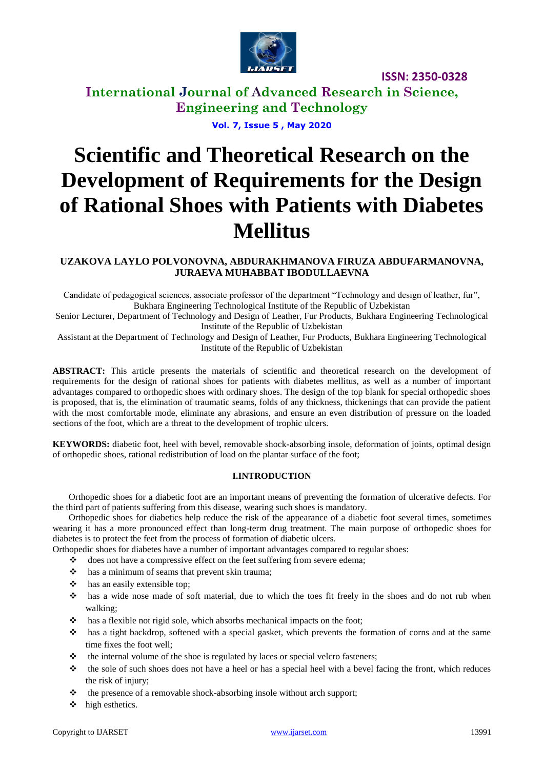

**ISSN: 2350-0328**

# **International Journal of Advanced Research in Science, Engineering and Technology**

**Vol. 7, Issue 5 , May 2020**

# **Scientific and Theoretical Research on the Development of Requirements for the Design of Rational Shoes with Patients with Diabetes Mellitus**

# **UZAKOVA LAYLO POLVONOVNA, ABDURAKHMANOVA FIRUZA ABDUFARMANOVNA, JURAEVA MUHABBAT IBODULLAEVNA**

Candidate of pedagogical sciences, associate professor of the department "Technology and design of leather, fur", Bukhara Engineering Technological Institute of the Republic of Uzbekistan

Senior Lecturer, Department of Technology and Design of Leather, Fur Products, Bukhara Engineering Technological Institute of the Republic of Uzbekistan

Assistant at the Department of Technology and Design of Leather, Fur Products, Bukhara Engineering Technological Institute of the Republic of Uzbekistan

**ABSTRACT:** This article presents the materials of scientific and theoretical research on the development of requirements for the design of rational shoes for patients with diabetes mellitus, as well as a number of important advantages compared to orthopedic shoes with ordinary shoes. The design of the top blank for special orthopedic shoes is proposed, that is, the elimination of traumatic seams, folds of any thickness, thickenings that can provide the patient with the most comfortable mode, eliminate any abrasions, and ensure an even distribution of pressure on the loaded sections of the foot, which are a threat to the development of trophic ulcers.

**KEYWORDS:** diabetic foot, heel with bevel, removable shock-absorbing insole, deformation of joints, optimal design of orthopedic shoes, rational redistribution of load on the plantar surface of the foot;

## **I.INTRODUCTION**

 Orthopedic shoes for a diabetic foot are an important means of preventing the formation of ulcerative defects. For the third part of patients suffering from this disease, wearing such shoes is mandatory.

 Orthopedic shoes for diabetics help reduce the risk of the appearance of a diabetic foot several times, sometimes wearing it has a more pronounced effect than long-term drug treatment. The main purpose of orthopedic shoes for diabetes is to protect the feet from the process of formation of diabetic ulcers.

Orthopedic shoes for diabetes have a number of important advantages compared to regular shoes:

- $\triangleleft$  does not have a compressive effect on the feet suffering from severe edema;
- $\triangle$  has a minimum of seams that prevent skin trauma;
- $\triangleleft$  has an easily extensible top;
- has a wide nose made of soft material, due to which the toes fit freely in the shoes and do not rub when walking;
- $\cdot \cdot$  has a flexible not rigid sole, which absorbs mechanical impacts on the foot:
- has a tight backdrop, softened with a special gasket, which prevents the formation of corns and at the same time fixes the foot well;
- $\cdot \cdot$  the internal volume of the shoe is regulated by laces or special velcro fasteners;
- $\cdot \cdot$  the sole of such shoes does not have a heel or has a special heel with a bevel facing the front, which reduces the risk of injury;
- $\triangleleft$  the presence of a removable shock-absorbing insole without arch support;
- $\triangleleft$  high esthetics.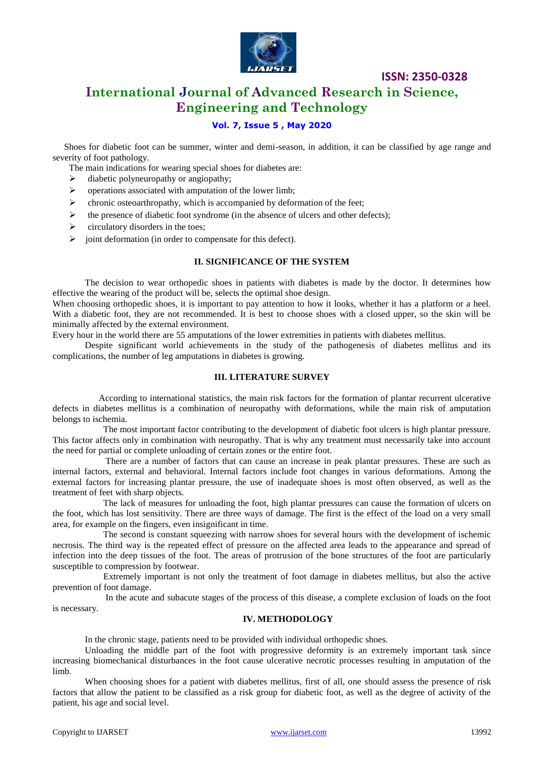

## **ISSN: 2350-0328**

# **International Journal of Advanced Research in Science, Engineering and Technology**

## **Vol. 7, Issue 5 , May 2020**

 Shoes for diabetic foot can be summer, winter and demi-season, in addition, it can be classified by age range and severity of foot pathology.

- The main indications for wearing special shoes for diabetes are:
- $\triangleright$  diabetic polyneuropathy or angiopathy;
- $\triangleright$  operations associated with amputation of the lower limb;
- $\triangleright$  chronic osteoarthropathy, which is accompanied by deformation of the feet;
- $\triangleright$  the presence of diabetic foot syndrome (in the absence of ulcers and other defects);
- $\triangleright$  circulatory disorders in the toes;
- $\geq$  ioint deformation (in order to compensate for this defect).

#### **II. SIGNIFICANCE OF THE SYSTEM**

The decision to wear orthopedic shoes in patients with diabetes is made by the doctor. It determines how effective the wearing of the product will be, selects the optimal shoe design.

When choosing orthopedic shoes, it is important to pay attention to how it looks, whether it has a platform or a heel. With a diabetic foot, they are not recommended. It is best to choose shoes with a closed upper, so the skin will be minimally affected by the external environment.

Every hour in the world there are 55 amputations of the lower extremities in patients with diabetes mellitus.

Despite significant world achievements in the study of the pathogenesis of diabetes mellitus and its complications, the number of leg amputations in diabetes is growing.

#### **III. LITERATURE SURVEY**

 According to international statistics, the main risk factors for the formation of plantar recurrent ulcerative defects in diabetes mellitus is a combination of neuropathy with deformations, while the main risk of amputation belongs to ischemia.

 The most important factor contributing to the development of diabetic foot ulcers is high plantar pressure. This factor affects only in combination with neuropathy. That is why any treatment must necessarily take into account the need for partial or complete unloading of certain zones or the entire foot.

 There are a number of factors that can cause an increase in peak plantar pressures. These are such as internal factors, external and behavioral. Internal factors include foot changes in various deformations. Among the external factors for increasing plantar pressure, the use of inadequate shoes is most often observed, as well as the treatment of feet with sharp objects.

 The lack of measures for unloading the foot, high plantar pressures can cause the formation of ulcers on the foot, which has lost sensitivity. There are three ways of damage. The first is the effect of the load on a very small area, for example on the fingers, even insignificant in time.

 The second is constant squeezing with narrow shoes for several hours with the development of ischemic necrosis. The third way is the repeated effect of pressure on the affected area leads to the appearance and spread of infection into the deep tissues of the foot. The areas of protrusion of the bone structures of the foot are particularly susceptible to compression by footwear.

 Extremely important is not only the treatment of foot damage in diabetes mellitus, but also the active prevention of foot damage.

 In the acute and subacute stages of the process of this disease, a complete exclusion of loads on the foot is necessary.

#### **IV. METHODOLOGY**

In the chronic stage, patients need to be provided with individual orthopedic shoes.

Unloading the middle part of the foot with progressive deformity is an extremely important task since increasing biomechanical disturbances in the foot cause ulcerative necrotic processes resulting in amputation of the limb.

When choosing shoes for a patient with diabetes mellitus, first of all, one should assess the presence of risk factors that allow the patient to be classified as a risk group for diabetic foot, as well as the degree of activity of the patient, his age and social level.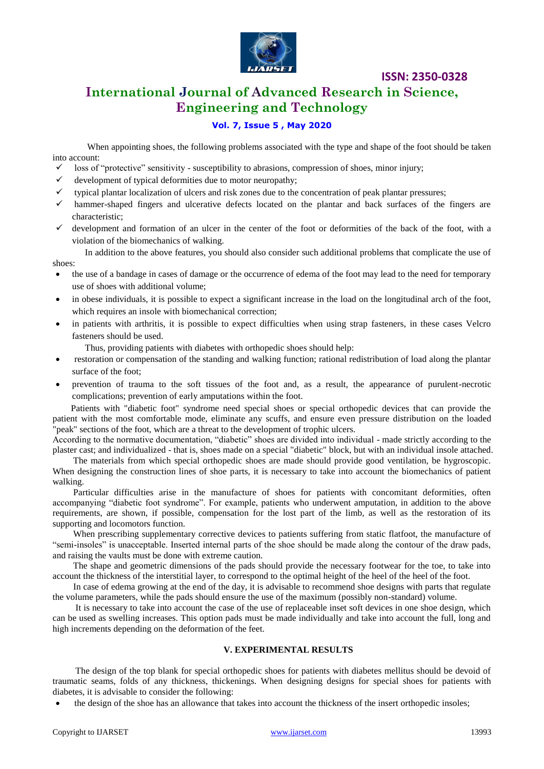

# **ISSN: 2350-0328**

# **International Journal of Advanced Research in Science, Engineering and Technology**

## **Vol. 7, Issue 5 , May 2020**

When appointing shoes, the following problems associated with the type and shape of the foot should be taken into account:

- $\checkmark$  loss of "protective" sensitivity susceptibility to abrasions, compression of shoes, minor injury;
- development of typical deformities due to motor neuropathy;
- $\checkmark$  typical plantar localization of ulcers and risk zones due to the concentration of peak plantar pressures;
- hammer-shaped fingers and ulcerative defects located on the plantar and back surfaces of the fingers are characteristic;
- development and formation of an ulcer in the center of the foot or deformities of the back of the foot, with a violation of the biomechanics of walking.

In addition to the above features, you should also consider such additional problems that complicate the use of shoes:

- the use of a bandage in cases of damage or the occurrence of edema of the foot may lead to the need for temporary use of shoes with additional volume;
- in obese individuals, it is possible to expect a significant increase in the load on the longitudinal arch of the foot, which requires an insole with biomechanical correction;
- in patients with arthritis, it is possible to expect difficulties when using strap fasteners, in these cases Velcro fasteners should be used.
	- Thus, providing patients with diabetes with orthopedic shoes should help:
- restoration or compensation of the standing and walking function; rational redistribution of load along the plantar surface of the foot;
- prevention of trauma to the soft tissues of the foot and, as a result, the appearance of purulent-necrotic complications; prevention of early amputations within the foot.

 Patients with "diabetic foot" syndrome need special shoes or special orthopedic devices that can provide the patient with the most comfortable mode, eliminate any scuffs, and ensure even pressure distribution on the loaded "peak" sections of the foot, which are a threat to the development of trophic ulcers.

According to the normative documentation, "diabetic" shoes are divided into individual - made strictly according to the plaster cast; and individualized - that is, shoes made on a special "diabetic" block, but with an individual insole attached.

 The materials from which special orthopedic shoes are made should provide good ventilation, be hygroscopic. When designing the construction lines of shoe parts, it is necessary to take into account the biomechanics of patient walking.

 Particular difficulties arise in the manufacture of shoes for patients with concomitant deformities, often accompanying "diabetic foot syndrome". For example, patients who underwent amputation, in addition to the above requirements, are shown, if possible, compensation for the lost part of the limb, as well as the restoration of its supporting and locomotors function.

 When prescribing supplementary corrective devices to patients suffering from static flatfoot, the manufacture of "semi-insoles" is unacceptable. Inserted internal parts of the shoe should be made along the contour of the draw pads, and raising the vaults must be done with extreme caution.

 The shape and geometric dimensions of the pads should provide the necessary footwear for the toe, to take into account the thickness of the interstitial layer, to correspond to the optimal height of the heel of the heel of the foot.

 In case of edema growing at the end of the day, it is advisable to recommend shoe designs with parts that regulate the volume parameters, while the pads should ensure the use of the maximum (possibly non-standard) volume.

 It is necessary to take into account the case of the use of replaceable inset soft devices in one shoe design, which can be used as swelling increases. This option pads must be made individually and take into account the full, long and high increments depending on the deformation of the feet.

#### **V. EXPERIMENTAL RESULTS**

 The design of the top blank for special orthopedic shoes for patients with diabetes mellitus should be devoid of traumatic seams, folds of any thickness, thickenings. When designing designs for special shoes for patients with diabetes, it is advisable to consider the following:

the design of the shoe has an allowance that takes into account the thickness of the insert orthopedic insoles;